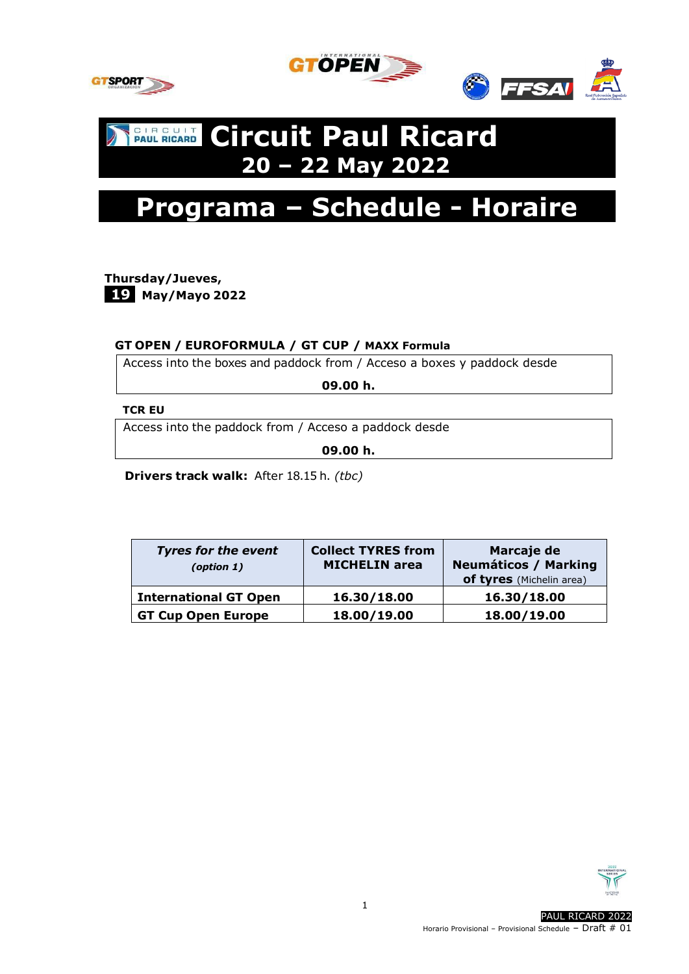



# **CIRCUIT CIrcuit Paul Ricard 20 – 22 May 2022**



**Thursday/Jueves, -19 May/Mayo 2022**

### **GT OPEN / EUROFORMULA / GT CUP / MAXX Formula**

Access into the boxes and paddock from / Acceso a boxes y paddock desde

**09.00 h.**

#### **TCR EU**

Access into the paddock from / Acceso a paddock desde

**09.00 h.**

 **Drivers track walk:** After 18.15 h. *(tbc)*

| <b>Tyres for the event</b><br>(option 1) | <b>Collect TYRES from</b><br><b>MICHELIN</b> area | Marcaje de<br><b>Neumáticos / Marking</b><br>of tyres (Michelin area) |
|------------------------------------------|---------------------------------------------------|-----------------------------------------------------------------------|
| <b>International GT Open</b>             | 16.30/18.00                                       | 16.30/18.00                                                           |
| <b>GT Cup Open Europe</b>                | 18.00/19.00                                       | 18.00/19.00                                                           |

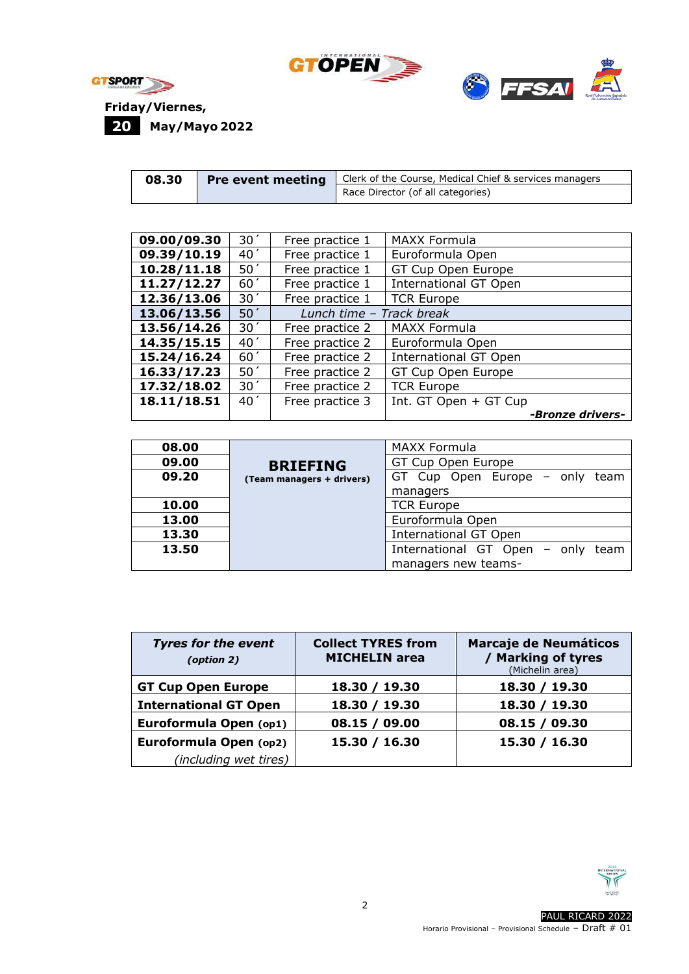





| 08.30 | <b>Pre event meeting</b> | Clerk of the Course, Medical Chief & services managers |
|-------|--------------------------|--------------------------------------------------------|
|       |                          | Race Director (of all categories)                      |

| 09.00/09.30 | 30 <sup>′</sup> | Free practice 1          | <b>MAXX Formula</b>          |
|-------------|-----------------|--------------------------|------------------------------|
| 09.39/10.19 | 40 <sup>′</sup> | Free practice 1          | Euroformula Open             |
| 10.28/11.18 | 50 <sup>′</sup> | Free practice 1          | GT Cup Open Europe           |
| 11.27/12.27 | 60 <sup>′</sup> | Free practice 1          | <b>International GT Open</b> |
| 12.36/13.06 | 30 <sup>′</sup> | Free practice 1          | <b>TCR Europe</b>            |
| 13.06/13.56 | $50^{\prime}$   | Lunch time - Track break |                              |
| 13.56/14.26 | 30 <sup>′</sup> | Free practice 2          | <b>MAXX Formula</b>          |
| 14.35/15.15 | 40 <sup>′</sup> | Free practice 2          | Euroformula Open             |
| 15.24/16.24 | 60 <sup>′</sup> | Free practice 2          | <b>International GT Open</b> |
| 16.33/17.23 | 50 <sup>′</sup> | Free practice 2          | GT Cup Open Europe           |
| 17.32/18.02 | 30 <sup>′</sup> | Free practice 2          | <b>TCR Europe</b>            |
| 18.11/18.51 | 40 <sup>′</sup> | Free practice 3          | Int. GT Open + GT Cup        |
|             |                 |                          | -Bronze drivers-             |

| 08.00 |                           | <b>MAXX Formula</b>                  |
|-------|---------------------------|--------------------------------------|
| 09.00 | <b>BRIEFING</b>           | GT Cup Open Europe                   |
| 09.20 | (Team managers + drivers) | GT Cup Open Europe - only team       |
|       |                           | managers                             |
| 10.00 |                           | <b>TCR Europe</b>                    |
| 13.00 |                           | Euroformula Open                     |
| 13.30 |                           | <b>International GT Open</b>         |
| 13.50 |                           | International GT Open - only<br>team |
|       |                           | managers new teams-                  |

| <b>Tyres for the event</b><br>(option 2) | <b>Collect TYRES from</b><br><b>MICHELIN</b> area | <b>Marcaje de Neumáticos</b><br><b>Marking of tyres</b><br>(Michelin area) |
|------------------------------------------|---------------------------------------------------|----------------------------------------------------------------------------|
| <b>GT Cup Open Europe</b>                | 18.30 / 19.30                                     | 18.30 / 19.30                                                              |
| <b>International GT Open</b>             | 18.30 / 19.30                                     | 18.30 / 19.30                                                              |
| Euroformula Open (op1)                   | 08.15 / 09.00                                     | 08.15 / 09.30                                                              |
| Euroformula Open (op2)                   | 15.30 / 16.30                                     | 15.30 / 16.30                                                              |
| (including wet tires)                    |                                                   |                                                                            |

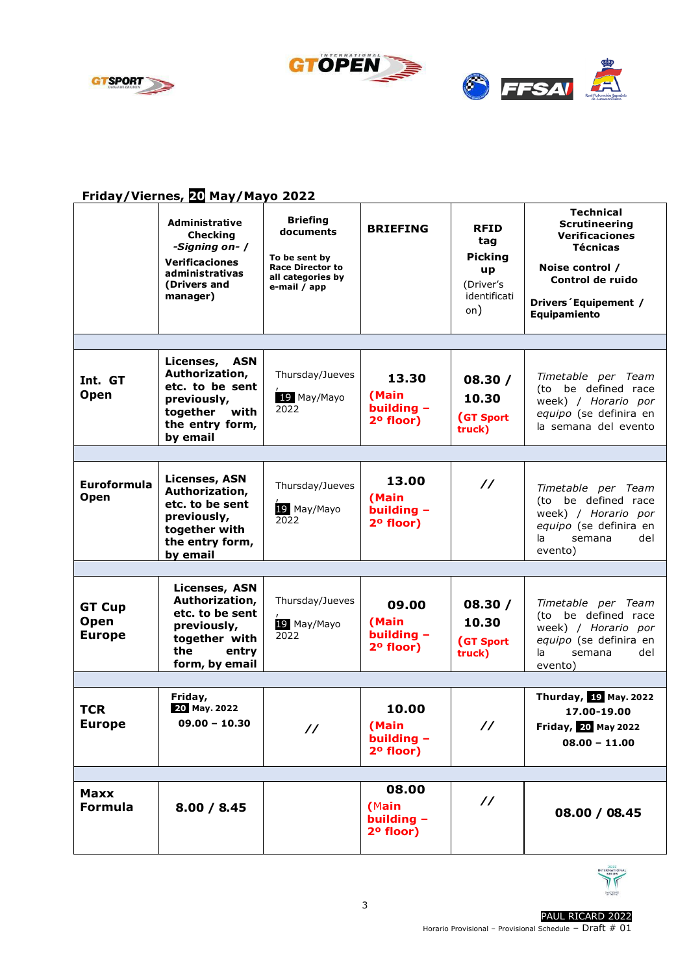



## **Friday/Viernes, 20 May/Mayo 2022**

|                                        | <b>Administrative</b><br><b>Checking</b><br>-Signing on- /<br><b>Verificaciones</b><br>administrativas<br>(Drivers and<br>manager) | <b>Briefing</b><br>documents<br>To be sent by<br><b>Race Director to</b><br>all categories by<br>e-mail / app | <b>BRIEFING</b>                               | <b>RFID</b><br>tag<br><b>Picking</b><br><b>up</b><br>(Driver's<br>identificati<br>on) | Technical<br><b>Scrutineering</b><br><b>Verificaciones</b><br><b>Técnicas</b><br>Noise control /<br>Control de ruido<br>Drivers 'Equipement /<br>Equipamiento |
|----------------------------------------|------------------------------------------------------------------------------------------------------------------------------------|---------------------------------------------------------------------------------------------------------------|-----------------------------------------------|---------------------------------------------------------------------------------------|---------------------------------------------------------------------------------------------------------------------------------------------------------------|
|                                        |                                                                                                                                    |                                                                                                               |                                               |                                                                                       |                                                                                                                                                               |
| Int. GT<br>Open                        | Licenses, ASN<br>Authorization,<br>etc. to be sent<br>previously,<br>together<br>with<br>the entry form,<br>by email               | Thursday/Jueves<br>19 May/Mayo<br>2022                                                                        | 13.30<br>(Main<br>building -<br>2º floor)     | 08.30 /<br>10.30<br>(GT Sport<br>truck)                                               | Timetable per Team<br>(to be defined race<br>week) / Horario por<br>equipo (se definira en<br>la semana del evento                                            |
|                                        |                                                                                                                                    |                                                                                                               |                                               |                                                                                       |                                                                                                                                                               |
| Euroformula<br>Open                    | <b>Licenses, ASN</b><br>Authorization,<br>etc. to be sent<br>previously,<br>together with<br>the entry form,<br>by email           | Thursday/Jueves<br>19 May/Mayo<br>2022                                                                        | 13.00<br>(Main<br>building -<br>2º floor)     | $\prime\prime$                                                                        | Timetable per Team<br>(to be defined race<br>week) / Horario por<br>equipo (se definira en<br>la<br>semana<br>del<br>evento)                                  |
|                                        |                                                                                                                                    |                                                                                                               |                                               |                                                                                       |                                                                                                                                                               |
| <b>GT Cup</b><br>Open<br><b>Europe</b> | <b>Licenses, ASN</b><br>Authorization,<br>etc. to be sent<br>previously,<br>together with<br>the<br>entry<br>form, by email        | Thursday/Jueves<br>19 May/Mayo<br>2022                                                                        | 09.00<br>(Main<br>building -<br>2º floor)     | 08.30 /<br>10.30<br>(GT Sport<br>truck)                                               | Timetable per Team<br>be defined race<br>(to-<br>week) / Horario por<br>equipo (se definira en<br>la.<br>semana<br>del<br>evento)                             |
|                                        |                                                                                                                                    |                                                                                                               |                                               |                                                                                       |                                                                                                                                                               |
| <b>TCR</b><br><b>Europe</b>            | Friday,<br>20 May. 2022<br>$09.00 - 10.30$                                                                                         | $\prime\prime$                                                                                                | 10.00<br>(Main<br>building -<br>2º floor)     | $\prime\prime$                                                                        | Thurday, 19 May. 2022<br>17.00-19.00<br>Friday, 20 May 2022<br>$08.00 - 11.00$                                                                                |
|                                        |                                                                                                                                    |                                                                                                               |                                               |                                                                                       |                                                                                                                                                               |
| <b>Maxx</b><br><b>Formula</b>          | 8.00 / 8.45                                                                                                                        |                                                                                                               | 08.00<br>(Main<br>building $-$<br>$2o$ floor) | $\prime\prime$                                                                        | 08.00 / 08.45                                                                                                                                                 |

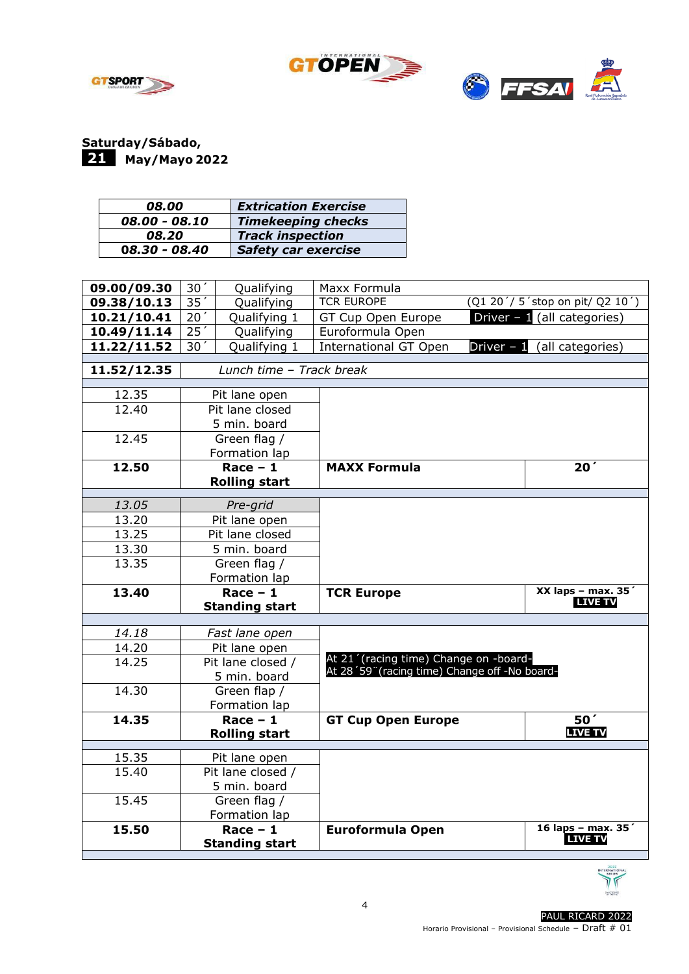



**Saturday/Sábado,** -**21 May/Mayo 2022**

| 08.00           | <b>Extrication Exercise</b> |
|-----------------|-----------------------------|
| 08.00 - 08.10   | <b>Timekeeping checks</b>   |
| 08.20           | <b>Track inspection</b>     |
| $08.30 - 08.40$ | <b>Safety car exercise</b>  |

| 09.00/09.30 | 30 <sup>′</sup> | Qualifying                   | Maxx Formula                                  |                                |
|-------------|-----------------|------------------------------|-----------------------------------------------|--------------------------------|
| 09.38/10.13 | 35              | Qualifying                   | <b>TCR EUROPE</b>                             | (Q1 20'/5'stop on pit/ Q2 10') |
| 10.21/10.41 | 20 <sup>′</sup> | Qualifying 1                 | GT Cup Open Europe                            | Driver $-1$ (all categories)   |
| 10.49/11.14 | 25'             | Qualifying                   | Euroformula Open                              |                                |
| 11.22/11.52 | 30 <sup>7</sup> | Qualifying 1                 | <b>International GT Open</b><br>Driver $-1$   | (all categories)               |
| 11.52/12.35 |                 | Lunch time - Track break     |                                               |                                |
| 12.35       |                 | Pit lane open                |                                               |                                |
| 12.40       |                 | Pit lane closed              |                                               |                                |
|             |                 | 5 min. board                 |                                               |                                |
| 12.45       |                 | Green flag /                 |                                               |                                |
|             |                 | Formation lap                |                                               |                                |
| 12.50       |                 | $Race - 1$                   | <b>MAXX Formula</b>                           | 20 <sup>′</sup>                |
|             |                 | <b>Rolling start</b>         |                                               |                                |
| 13.05       |                 | Pre-grid                     |                                               |                                |
| 13.20       |                 | Pit lane open                |                                               |                                |
| 13.25       |                 | Pit lane closed              |                                               |                                |
| 13.30       |                 | 5 min. board                 |                                               |                                |
| 13.35       |                 | Green flag /                 |                                               |                                |
|             |                 | Formation lap                |                                               |                                |
| 13.40       |                 | Race $-1$                    | <b>TCR Europe</b>                             | XX laps - max. $35'$           |
|             |                 | <b>Standing start</b>        |                                               | <b>LIVE TV</b>                 |
|             |                 |                              |                                               |                                |
| 14.18       |                 | Fast lane open               |                                               |                                |
| 14.20       |                 | Pit lane open                | At 21' (racing time) Change on -board-        |                                |
| 14.25       |                 | Pit lane closed /            | At 28'59" (racing time) Change off -No board- |                                |
| 14.30       |                 | 5 min. board<br>Green flap / |                                               |                                |
|             |                 | Formation lap                |                                               |                                |
| 14.35       |                 | Race $-1$                    | <b>GT Cup Open Europe</b>                     | 50 <sup>'</sup>                |
|             |                 | <b>Rolling start</b>         |                                               | <b>LIVE TV</b>                 |
|             |                 |                              |                                               |                                |
| 15.35       |                 | Pit lane open                |                                               |                                |
| 15.40       |                 | Pit lane closed /            |                                               |                                |
|             |                 | 5 min. board                 |                                               |                                |
| 15.45       |                 | Green flag /                 |                                               |                                |
| 15.50       |                 | Formation lap<br>Race $-1$   | <b>Euroformula Open</b>                       | 16 laps - max. 35'             |
|             |                 | <b>Standing start</b>        |                                               | <b>LIVE TV</b>                 |
|             |                 |                              |                                               |                                |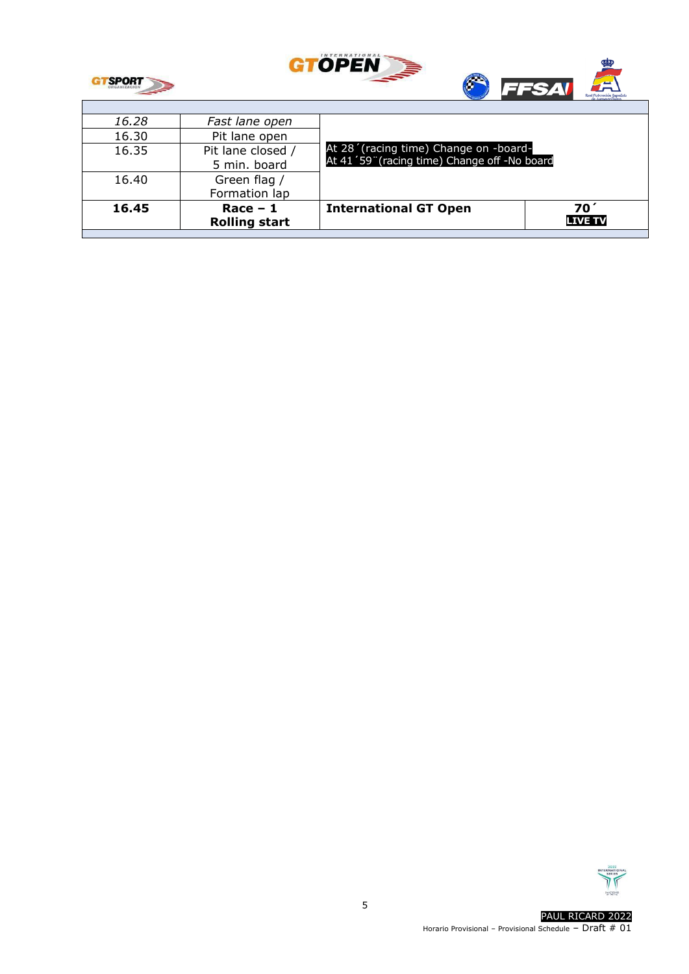

T



| 16.28<br>16.30 | Fast lane open<br>Pit lane open    |                                                                                        |                      |
|----------------|------------------------------------|----------------------------------------------------------------------------------------|----------------------|
| 16.35          | Pit lane closed /<br>5 min. board  | At 28' (racing time) Change on -board-<br>At 41'59" (racing time) Change off -No board |                      |
| 16.40          | Green flag<br>Formation lap        |                                                                                        |                      |
| 16.45          | $Race - 1$<br><b>Rolling start</b> | <b>International GT Open</b>                                                           | 70<br><b>LIVE TV</b> |

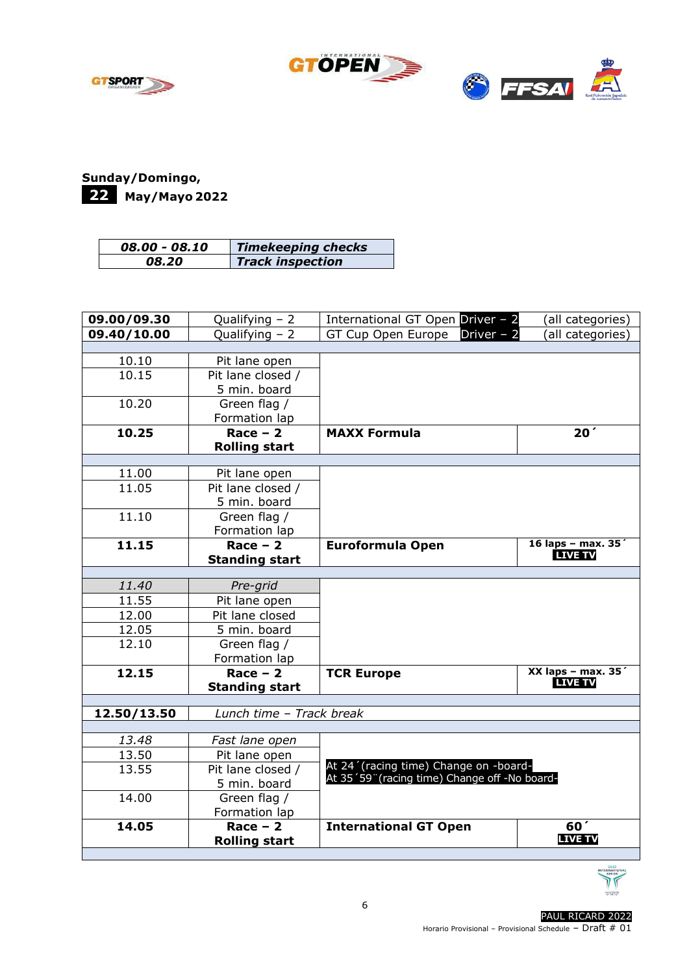



## **Sunday/Domingo,** -**22 May/Mayo 2022**

| 08.00 - 08.10 | <b>Timekeeping checks</b> |
|---------------|---------------------------|
| 08.20         | <b>Track inspection</b>   |

| 09.00/09.30 | Qualifying $-2$          | International GT Open Driver - 2              | (all categories)                       |
|-------------|--------------------------|-----------------------------------------------|----------------------------------------|
| 09.40/10.00 | Qualifying $-2$          | GT Cup Open Europe Driver $-2$                | (all categories)                       |
|             |                          |                                               |                                        |
| 10.10       | Pit lane open            |                                               |                                        |
| 10.15       | Pit lane closed /        |                                               |                                        |
|             | 5 min. board             |                                               |                                        |
| 10.20       | Green flag /             |                                               |                                        |
|             | Formation lap            |                                               |                                        |
| 10.25       | $Race - 2$               | <b>MAXX Formula</b>                           | 20 <sup>′</sup>                        |
|             | <b>Rolling start</b>     |                                               |                                        |
|             |                          |                                               |                                        |
| 11.00       | Pit lane open            |                                               |                                        |
| 11.05       | $Pit$ lane closed /      |                                               |                                        |
|             | 5 min. board             |                                               |                                        |
| 11.10       | Green flag /             |                                               |                                        |
|             | Formation lap            |                                               |                                        |
| 11.15       | $Race - 2$               | <b>Euroformula Open</b>                       | 16 laps - max. 35'<br><b>LIVE TV</b>   |
|             | <b>Standing start</b>    |                                               |                                        |
|             |                          |                                               |                                        |
| 11.40       | Pre-grid                 |                                               |                                        |
| 11.55       | Pit lane open            |                                               |                                        |
| 12.00       | Pit lane closed          |                                               |                                        |
| 12.05       | 5 min. board             |                                               |                                        |
| 12.10       | Green flag /             |                                               |                                        |
|             | Formation lap            |                                               |                                        |
| 12.15       | $Race - 2$               | <b>TCR Europe</b>                             | XX laps - max. $35'$<br><b>LIVE TV</b> |
|             | <b>Standing start</b>    |                                               |                                        |
|             |                          |                                               |                                        |
| 12.50/13.50 | Lunch time - Track break |                                               |                                        |
| 13.48       | Fast lane open           |                                               |                                        |
| 13.50       | Pit lane open            |                                               |                                        |
| 13.55       | Pit lane closed /        | At 24' (racing time) Change on -board-        |                                        |
|             | 5 min. board             | At 35'59" (racing time) Change off -No board- |                                        |
| 14.00       | Green flag /             |                                               |                                        |
|             | Formation lap            |                                               |                                        |
| 14.05       | $Race - 2$               | <b>International GT Open</b>                  | 60 <sup>′</sup>                        |
|             | <b>Rolling start</b>     |                                               | <b>LIVE TV</b>                         |